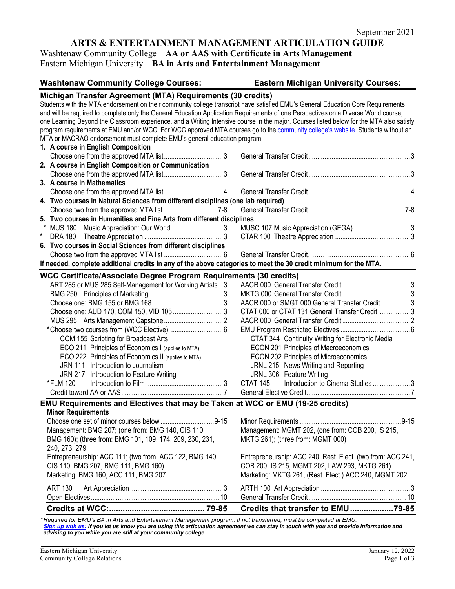# **ARTS & ENTERTAINMENT MANAGEMENT ARTICULATION GUIDE**

# Washtenaw Community College – **AA or AAS with Certificate in Arts Management** Eastern Michigan University – **BA in Arts and Entertainment Management**

| <b>Eastern Michigan University Courses:</b><br><b>Washtenaw Community College Courses:</b>                                               |                                                             |  |  |
|------------------------------------------------------------------------------------------------------------------------------------------|-------------------------------------------------------------|--|--|
| Michigan Transfer Agreement (MTA) Requirements (30 credits)                                                                              |                                                             |  |  |
| Students with the MTA endorsement on their community college transcript have satisfied EMU's General Education Core Requirements         |                                                             |  |  |
| and will be required to complete only the General Education Application Requirements of one Perspectives on a Diverse World course,      |                                                             |  |  |
| one Learning Beyond the Classroom experience, and a Writing Intensive course in the major. Courses listed below for the MTA also satisfy |                                                             |  |  |
| program requirements at EMU and/or WCC. For WCC approved MTA courses go to the community college's website. Students without an          |                                                             |  |  |
| MTA or MACRAO endorsement must complete EMU's general education program.                                                                 |                                                             |  |  |
| 1. A course in English Composition                                                                                                       |                                                             |  |  |
|                                                                                                                                          |                                                             |  |  |
| 2. A course in English Composition or Communication                                                                                      |                                                             |  |  |
|                                                                                                                                          |                                                             |  |  |
| 3. A course in Mathematics                                                                                                               |                                                             |  |  |
|                                                                                                                                          |                                                             |  |  |
| 4. Two courses in Natural Sciences from different disciplines (one lab required)                                                         |                                                             |  |  |
|                                                                                                                                          |                                                             |  |  |
| 5. Two courses in Humanities and Fine Arts from different disciplines                                                                    |                                                             |  |  |
| <b>MUS 180</b>                                                                                                                           |                                                             |  |  |
| $^{\star}$                                                                                                                               |                                                             |  |  |
| 6. Two courses in Social Sciences from different disciplines                                                                             |                                                             |  |  |
|                                                                                                                                          |                                                             |  |  |
| If needed, complete additional credits in any of the above categories to meet the 30 credit minimum for the MTA.                         |                                                             |  |  |
| <b>WCC Certificate/Associate Degree Program Requirements (30 credits)</b>                                                                |                                                             |  |  |
| ART 285 or MUS 285 Self-Management for Working Artists 3                                                                                 |                                                             |  |  |
|                                                                                                                                          |                                                             |  |  |
|                                                                                                                                          | AACR 000 or SMGT 000 General Transfer Credit  3             |  |  |
|                                                                                                                                          | CTAT 000 or CTAT 131 General Transfer Credit3               |  |  |
|                                                                                                                                          |                                                             |  |  |
|                                                                                                                                          |                                                             |  |  |
| COM 155 Scripting for Broadcast Arts<br>CTAT 344 Continuity Writing for Electronic Media                                                 |                                                             |  |  |
| ECO 211 Principles of Economics I (applies to MTA)                                                                                       | ECON 201 Principles of Macroeconomics                       |  |  |
| ECO 222 Principles of Economics II (applies to MTA)                                                                                      | ECON 202 Principles of Microeconomics                       |  |  |
| JRN 111 Introduction to Journalism                                                                                                       | JRNL 215 News Writing and Reporting                         |  |  |
| JRN 217 Introduction to Feature Writing                                                                                                  | JRNL 306 Feature Writing                                    |  |  |
| *FLM 120                                                                                                                                 | Introduction to Cinema Studies3<br>CTAT <sub>145</sub>      |  |  |
|                                                                                                                                          |                                                             |  |  |
| EMU Requirements and Electives that may be Taken at WCC or EMU (19-25 credits)                                                           |                                                             |  |  |
| <b>Minor Requirements</b>                                                                                                                |                                                             |  |  |
|                                                                                                                                          |                                                             |  |  |
| Management: BMG 207; (one from: BMG 140, CIS 110,                                                                                        | Management: MGMT 202, (one from: COB 200, IS 215,           |  |  |
| BMG 160); (three from: BMG 101, 109, 174, 209, 230, 231,                                                                                 | MKTG 261); (three from: MGMT 000)                           |  |  |
| 240, 273, 279                                                                                                                            |                                                             |  |  |
| Entrepreneurship: ACC 111; (two from: ACC 122, BMG 140,                                                                                  | Entrepreneurship: ACC 240; Rest. Elect. (two from: ACC 241, |  |  |
| CIS 110, BMG 207, BMG 111, BMG 160)                                                                                                      | COB 200, IS 215, MGMT 202, LAW 293, MKTG 261)               |  |  |
| Marketing: BMG 160, ACC 111, BMG 207                                                                                                     | Marketing: MKTG 261, (Rest. Elect.) ACC 240, MGMT 202       |  |  |
|                                                                                                                                          |                                                             |  |  |
| <b>ART 130</b>                                                                                                                           |                                                             |  |  |
|                                                                                                                                          |                                                             |  |  |
|                                                                                                                                          | Credits that transfer to EMU79-85                           |  |  |

*\* Required for EMU's BA in Arts and Entertainment Management program. If not transferred, must be completed at EMU. [Sign up with us:](https://www.emich.edu/ccr/articulation-agreements/signup.php) If you let us know you are using this articulation agreement we can stay in touch with you and provide information and advising to you while you are still at your community college.*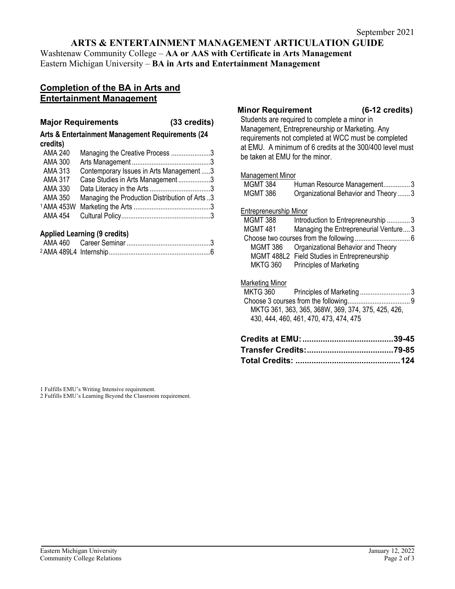# **ARTS & ENTERTAINMENT MANAGEMENT ARTICULATION GUIDE**

Washtenaw Community College – **AA or AAS with Certificate in Arts Management** Eastern Michigan University – **BA in Arts and Entertainment Management**

# **Completion of the BA in Arts and Entertainment Management**

### **Major Requirements (33 credits)**

### **Arts & Entertainment Management Requirements (24 credits)**

| <b>AMA 240</b>        | Managing the Creative Process 3                |  |
|-----------------------|------------------------------------------------|--|
| <b>AMA 300</b>        |                                                |  |
| AMA 313               | Contemporary Issues in Arts Management 3       |  |
| <b>AMA 317</b>        | Case Studies in Arts Management3               |  |
| AMA 330               |                                                |  |
| <b>AMA 350</b>        | Managing the Production Distribution of Arts 3 |  |
| <sup>1</sup> AMA 453W |                                                |  |
| AMA 454               |                                                |  |

# **Applied Learning (9 credits)**

### **Minor Requirement (6-12 credits)**

Students are required to complete a minor in Management, Entrepreneurship or Marketing. Any requirements not completed at WCC must be completed at EMU. A minimum of 6 credits at the 300/400 level must be taken at EMU for the minor.

### Management Minor

| Crodite of EMII:       |                                                                                              | 20 AE |
|------------------------|----------------------------------------------------------------------------------------------|-------|
|                        | MKTG 361, 363, 365, 368W, 369, 374, 375, 425, 426,<br>430, 444, 460, 461, 470, 473, 474, 475 |       |
|                        |                                                                                              |       |
| <b>MKTG 360</b>        | Principles of Marketing 3                                                                    |       |
| Marketing Minor        |                                                                                              |       |
| <b>MKTG 360</b>        | <b>Principles of Marketing</b>                                                               |       |
|                        | MGMT 488L2 Field Studies in Entrepreneurship                                                 |       |
| <b>MGMT 386</b>        | Organizational Behavior and Theory                                                           |       |
|                        |                                                                                              |       |
| <b>MGMT 481</b>        | Managing the Entrepreneurial Venture3                                                        |       |
| MGMT 388               | Introduction to Entrepreneurship 3                                                           |       |
| Entrepreneurship Minor |                                                                                              |       |
|                        |                                                                                              |       |
| <b>MGMT 386</b>        | Organizational Behavior and Theory  3                                                        |       |
| <b>MGMT 384</b>        | Human Resource Management3                                                                   |       |
|                        |                                                                                              |       |

1 Fulfills EMU's Writing Intensive requirement.

2 Fulfills EMU's Learning Beyond the Classroom requirement.